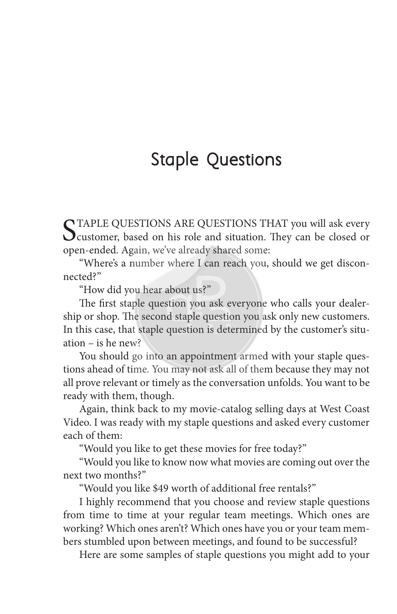# **Staple Questions**

C TAPLE QUESTIONS ARE QUESTIONS THAT you will ask every  $\bigcup$  customer, based on his role and situation. They can be closed or open-ended. Again, we've already shared some:

"Where's a number where I can reach you, should we get disconnected?"

"How did you hear about us?"

The first staple question you ask everyone who calls your dealership or shop. The second staple question you ask only new customers. In this case, that staple question is determined by the customer's situation – is he new?

You should go into an appointment armed with your staple questions ahead of time. You may not ask all of them because they may not all prove relevant or timely as the conversation unfolds. You want to be ready with them, though.

Again, think back to my movie-catalog selling days at West Coast Video. I was ready with my staple questions and asked every customer each of them:

"Would you like to get these movies for free today?"

"Would you like to know now what movies are coming out over the next two months?"

"Would you like \$49 worth of additional free rentals?"

I highly recommend that you choose and review staple questions from time to time at your regular team meetings. Which ones are working? Which ones aren't? Which ones have you or your team members stumbled upon between meetings, and found to be successful?

Here are some samples of staple questions you might add to your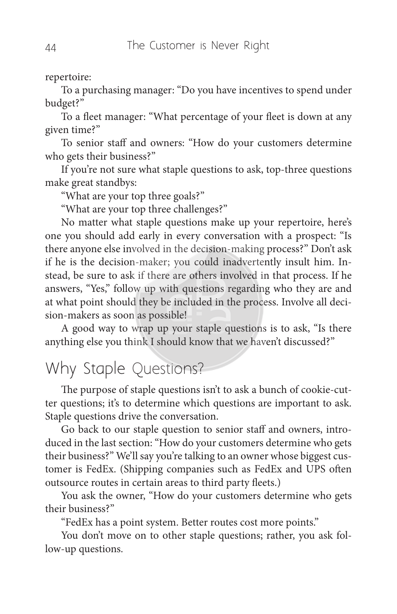#### repertoire:

To a purchasing manager: "Do you have incentives to spend under budget?"

To a fleet manager: "What percentage of your fleet is down at any given time?"

To senior staff and owners: "How do your customers determine who gets their business?"

If you're not sure what staple questions to ask, top-three questions make great standbys:

"What are your top three goals?"

"What are your top three challenges?"

No matter what staple questions make up your repertoire, here's one you should add early in every conversation with a prospect: "Is there anyone else involved in the decision-making process?" Don't ask if he is the decision-maker; you could inadvertently insult him. Instead, be sure to ask if there are others involved in that process. If he answers, "Yes," follow up with questions regarding who they are and at what point should they be included in the process. Involve all decision-makers as soon as possible!

A good way to wrap up your staple questions is to ask, "Is there anything else you think I should know that we haven't discussed?"

## Why Staple Questions?

The purpose of staple questions isn't to ask a bunch of cookie-cutter questions; it's to determine which questions are important to ask. Staple questions drive the conversation.

Go back to our staple question to senior staff and owners, introduced in the last section: "How do your customers determine who gets their business?" We'll say you're talking to an owner whose biggest customer is FedEx. (Shipping companies such as FedEx and UPS often outsource routes in certain areas to third party fleets.)

You ask the owner, "How do your customers determine who gets their business?"

"FedEx has a point system. Better routes cost more points."

You don't move on to other staple questions; rather, you ask follow-up questions.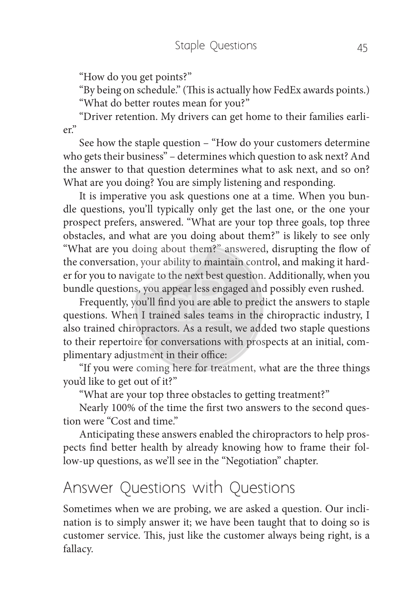"How do you get points?"

"By being on schedule." (This is actually how FedEx awards points.) "What do better routes mean for you?"

"Driver retention. My drivers can get home to their families earlier."

See how the staple question – "How do your customers determine who gets their business" – determines which question to ask next? And the answer to that question determines what to ask next, and so on? What are you doing? You are simply listening and responding.

It is imperative you ask questions one at a time. When you bundle questions, you'll typically only get the last one, or the one your prospect prefers, answered. "What are your top three goals, top three obstacles, and what are you doing about them?" is likely to see only "What are you doing about them?" answered, disrupting the flow of the conversation, your ability to maintain control, and making it harder for you to navigate to the next best question. Additionally, when you bundle questions, you appear less engaged and possibly even rushed.

Frequently, you'll find you are able to predict the answers to staple questions. When I trained sales teams in the chiropractic industry, I also trained chiropractors. As a result, we added two staple questions to their repertoire for conversations with prospects at an initial, complimentary adjustment in their office:

"If you were coming here for treatment, what are the three things you'd like to get out of it?"

"What are your top three obstacles to getting treatment?"

Nearly 100% of the time the first two answers to the second question were "Cost and time."

Anticipating these answers enabled the chiropractors to help prospects find better health by already knowing how to frame their follow-up questions, as we'll see in the "Negotiation" chapter.

### Answer Questions with Questions

Sometimes when we are probing, we are asked a question. Our inclination is to simply answer it; we have been taught that to doing so is customer service. This, just like the customer always being right, is a fallacy.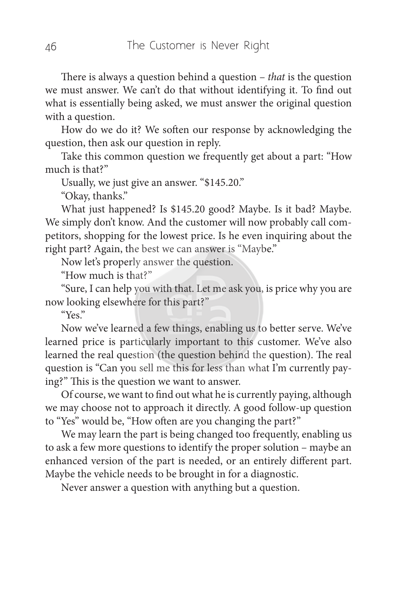There is always a question behind a question – *that* is the question we must answer. We can't do that without identifying it. To find out what is essentially being asked, we must answer the original question with a question.

How do we do it? We soften our response by acknowledging the question, then ask our question in reply.

Take this common question we frequently get about a part: "How much is that?"

Usually, we just give an answer. "\$145.20."

"Okay, thanks."

What just happened? Is \$145.20 good? Maybe. Is it bad? Maybe. We simply don't know. And the customer will now probably call competitors, shopping for the lowest price. Is he even inquiring about the right part? Again, the best we can answer is "Maybe."

Now let's properly answer the question.

"How much is that?"

"Sure, I can help you with that. Let me ask you, is price why you are now looking elsewhere for this part?"

"Yes."

Now we've learned a few things, enabling us to better serve. We've learned price is particularly important to this customer. We've also learned the real question (the question behind the question). The real question is "Can you sell me this for less than what I'm currently paying?" This is the question we want to answer.

Of course, we want to find out what he is currently paying, although we may choose not to approach it directly. A good follow-up question to "Yes" would be, "How often are you changing the part?"

We may learn the part is being changed too frequently, enabling us to ask a few more questions to identify the proper solution – maybe an enhanced version of the part is needed, or an entirely different part. Maybe the vehicle needs to be brought in for a diagnostic.

Never answer a question with anything but a question.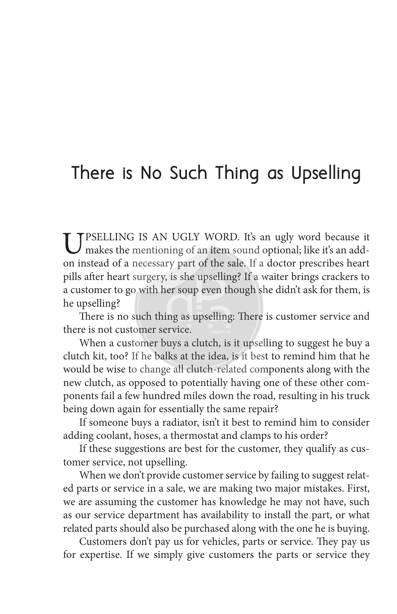# **There is No Such Thing as Upselling**

UPSELLING IS AN UGLY WORD. It's an ugly word because it makes the mentioning of an item sound optional; like it's an addon instead of a necessary part of the sale. If a doctor prescribes heart pills after heart surgery, is she upselling? If a waiter brings crackers to a customer to go with her soup even though she didn't ask for them, is he upselling?

There is no such thing as upselling: There is customer service and there is not customer service.

When a customer buys a clutch, is it upselling to suggest he buy a clutch kit, too? If he balks at the idea, is it best to remind him that he would be wise to change all clutch-related components along with the new clutch, as opposed to potentially having one of these other components fail a few hundred miles down the road, resulting in his truck being down again for essentially the same repair?

If someone buys a radiator, isn't it best to remind him to consider adding coolant, hoses, a thermostat and clamps to his order?

If these suggestions are best for the customer, they qualify as customer service, not upselling.

When we don't provide customer service by failing to suggest related parts or service in a sale, we are making two major mistakes. First, we are assuming the customer has knowledge he may not have, such as our service department has availability to install the part, or what related parts should also be purchased along with the one he is buying.

Customers don't pay us for vehicles, parts or service. They pay us for expertise. If we simply give customers the parts or service they